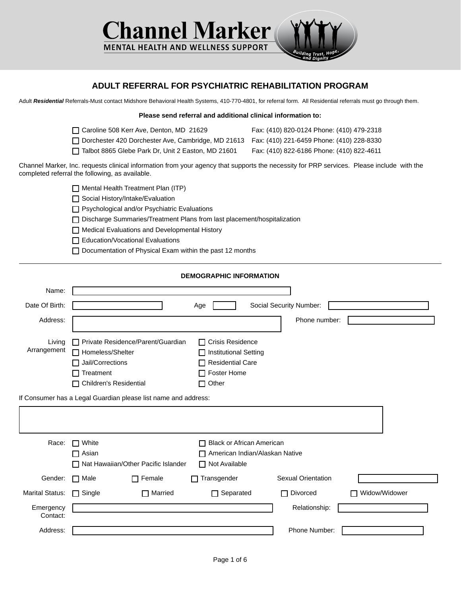

## **ADULT REFERRAL FOR PSYCHIATRIC REHABILITATION PROGRAM**

Adult *Residential* Referrals-Must contact Midshore Behavioral Health Systems, 410-770-4801, for referral form. All Residential referrals must go through them.

| Please send referral and additional clinical information to:                                                                                                                                 |                                           |
|----------------------------------------------------------------------------------------------------------------------------------------------------------------------------------------------|-------------------------------------------|
| Caroline 508 Kerr Ave, Denton, MD 21629                                                                                                                                                      | Fax: (410) 820-0124 Phone: (410) 479-2318 |
| Dorchester 420 Dorchester Ave, Cambridge, MD 21613 Fax: (410) 221-6459 Phone: (410) 228-8330                                                                                                 |                                           |
| Talbot 8865 Glebe Park Dr, Unit 2 Easton, MD 21601                                                                                                                                           | Fax: (410) 822-6186 Phone: (410) 822-4611 |
| Channel Marker, Inc. requests clinical information from your agency that supports the necessity for PRP services. Please include with the<br>completed referral the following, as available. |                                           |
| Mental Health Treatment Plan (ITP)                                                                                                                                                           |                                           |
| Social History/Intake/Evaluation                                                                                                                                                             |                                           |
| $\Box$ Psychological and/or Psychiatric Evaluations                                                                                                                                          |                                           |
| □ Discharge Summaries/Treatment Plans from last placement/hospitalization                                                                                                                    |                                           |
| $\Box$ Medical Evaluations and Developmental History                                                                                                                                         |                                           |
| <b>Education/Vocational Evaluations</b>                                                                                                                                                      |                                           |
| Documentation of Physical Exam within the past 12 months                                                                                                                                     |                                           |
|                                                                                                                                                                                              |                                           |
| <b>DEMOGRAPHIC INFORMATION</b>                                                                                                                                                               |                                           |
|                                                                                                                                                                                              |                                           |
| Age                                                                                                                                                                                          | Social Security Number:                   |
|                                                                                                                                                                                              | Phone number:                             |
|                                                                                                                                                                                              |                                           |

| Living                | □ Private Residence/Parent/Guardian                            | $\Box$ Crisis Residence          |                           |               |
|-----------------------|----------------------------------------------------------------|----------------------------------|---------------------------|---------------|
| Arrangement           | □ Homeless/Shelter                                             | □ Institutional Setting          |                           |               |
|                       | Jail/Corrections                                               | $\Box$ Residential Care          |                           |               |
|                       | $\Box$ Treatment                                               | $\Box$ Foster Home               |                           |               |
|                       | □ Children's Residential                                       | $\Box$ Other                     |                           |               |
|                       | If Consumer has a Legal Guardian please list name and address: |                                  |                           |               |
|                       |                                                                |                                  |                           |               |
|                       |                                                                |                                  |                           |               |
| Race:                 | $\Box$ White                                                   | $\Box$ Black or African American |                           |               |
|                       | $\sqcap$ Asian                                                 | American Indian/Alaskan Native   |                           |               |
|                       | □ Nat Hawaiian/Other Pacific Islander                          | □ Not Available                  |                           |               |
| Gender:               | $\Box$ Female<br>$\Box$ Male                                   | Transgender                      | <b>Sexual Orientation</b> |               |
| Marital Status:       | $\Box$ Married<br>$\Box$ Single                                | $\Box$ Separated                 | $\Box$ Divorced           | Widow/Widower |
| Emergency<br>Contact: |                                                                |                                  | Relationship:             |               |
|                       |                                                                |                                  |                           |               |

Address: Phone Number: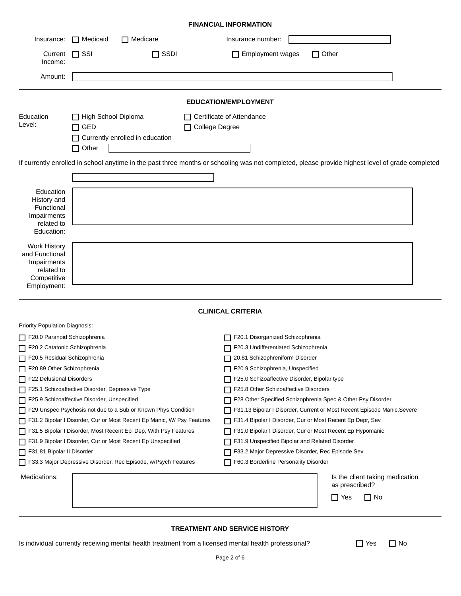|                                                                                                  |                                                   |                                   | <b>FINANCIAL INFORMATION</b>                                                                                                                     |
|--------------------------------------------------------------------------------------------------|---------------------------------------------------|-----------------------------------|--------------------------------------------------------------------------------------------------------------------------------------------------|
| Insurance:                                                                                       | $\Box$ Medicaid                                   | $\Box$ Medicare                   | Insurance number:                                                                                                                                |
| Current<br>Income:                                                                               | $\Box$ SSI                                        | $\Box$ SSDI                       | Employment wages<br>$\Box$ Other                                                                                                                 |
| Amount:                                                                                          |                                                   |                                   |                                                                                                                                                  |
|                                                                                                  |                                                   |                                   | <b>EDUCATION/EMPLOYMENT</b>                                                                                                                      |
| Education<br>Level:                                                                              | High School Diploma<br>$\Box$ GED<br>$\Box$ Other | □ Currently enrolled in education | $\Box$ Certificate of Attendance<br>□ College Degree                                                                                             |
|                                                                                                  |                                                   |                                   | If currently enrolled in school anytime in the past three months or schooling was not completed, please provide highest level of grade completed |
| Education<br>History and<br>Functional<br>Impairments<br>related to<br>Education:                |                                                   |                                   |                                                                                                                                                  |
| <b>Work History</b><br>and Functional<br>Impairments<br>related to<br>Competitive<br>Employment: |                                                   |                                   |                                                                                                                                                  |
|                                                                                                  |                                                   |                                   | <b>CLINICAL CRITERIA</b>                                                                                                                         |
| Priority Population Diagnosis:                                                                   |                                                   |                                   |                                                                                                                                                  |
| F20.0 Paranoid Schizophrenia                                                                     |                                                   |                                   | F20.1 Disorganized Schizophrenia                                                                                                                 |
| F20.2 Catatonic Schizophrenia                                                                    |                                                   |                                   | F20.3 Undifferentiated Schizophrenia                                                                                                             |
| F20.5 Residual Schizophrenia                                                                     |                                                   |                                   | 20.81 Schizophreniform Disorder                                                                                                                  |
| F20.89 Other Schizophrenia                                                                       |                                                   |                                   | F20.9 Schizophrenia, Unspecified                                                                                                                 |
| F22 Delusional Disorders                                                                         |                                                   |                                   | F25.0 Schizoaffective Disorder, Bipolar type                                                                                                     |
| F25.1 Schizoaffective Disorder, Depressive Type                                                  |                                                   |                                   | F25.8 Other Schizoaffective Disorders                                                                                                            |
| $\Box$ F25.9 Schizoaffective Disorder, Unspecified                                               |                                                   |                                   | □ F28 Other Specified Schizophrenia Spec & Other Psy Disorder                                                                                    |

| <b>I</b> Honty I operation Diagnosis.                                    |                                                                           |
|--------------------------------------------------------------------------|---------------------------------------------------------------------------|
| F20.0 Paranoid Schizophrenia                                             | F20.1 Disorganized Schizophrenia<br>H                                     |
| F20.2 Catatonic Schizophrenia                                            | F20.3 Undifferentiated Schizophrenia                                      |
| F20.5 Residual Schizophrenia                                             | 20.81 Schizophreniform Disorder<br>П                                      |
| F20.89 Other Schizophrenia                                               | F20.9 Schizophrenia, Unspecified<br>П                                     |
| F22 Delusional Disorders                                                 | F25.0 Schizoaffective Disorder, Bipolar type<br>LΙ                        |
| F25.1 Schizoaffective Disorder, Depressive Type                          | F25.8 Other Schizoaffective Disorders<br>LΙ                               |
| F25.9 Schizoaffective Disorder, Unspecified                              | F28 Other Specified Schizophrenia Spec & Other Psy Disorder<br>l I        |
| F29 Unspec Psychosis not due to a Sub or Known Phys Condition            | □ F31.13 Bipolar I Disorder, Current or Most Recent Episode Manic, Severe |
| □ F31.2 Bipolar I Disorder, Cur or Most Recent Ep Manic, W/ Psy Features | F31.4 Bipolar I Disorder, Cur or Most Recent Ep Depr, Sev                 |
| □ F31.5 Bipolar I Disorder, Most Recent Epi Dep, With Psy Features       | F31.0 Bipolar I Disorder, Cur or Most Recent Ep Hypomanic<br>П            |
| □ F31.9 Bipolar I Disorder, Cur or Most Recent Ep Unspecified            | F31.9 Unspecified Bipolar and Related Disorder                            |
| □ F31.81 Bipolar II Disorder                                             | F33.2 Major Depressive Disorder, Rec Episode Sev<br>l I                   |
| □ F33.3 Major Depressive Disorder, Rec Episode, w/Psych Features         | F60.3 Borderline Personality Disorder<br>LΙ                               |
| Medications:                                                             | Is the client taking medication<br>as prescribed?                         |
|                                                                          | $\Box$ Yes<br>$\Box$ No                                                   |

## **TREATMENT AND SERVICE HISTORY**

Is individual currently receiving mental health treatment from a licensed mental health professional?  $\Box$  Yes  $\Box$  No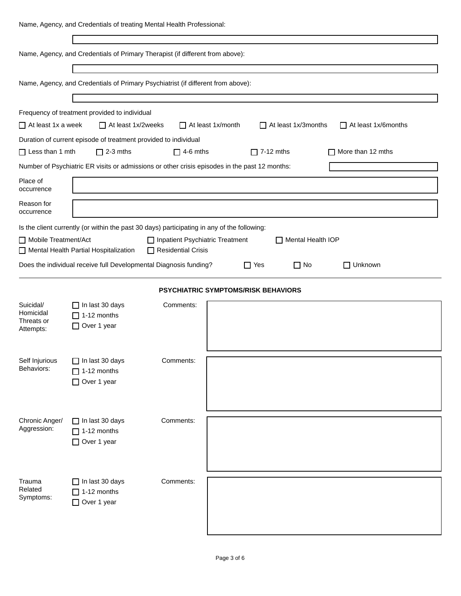|                              | Name, Agency, and Credentials of treating Mental Health Professional:                       |                                                         |                                                                                               |                          |
|------------------------------|---------------------------------------------------------------------------------------------|---------------------------------------------------------|-----------------------------------------------------------------------------------------------|--------------------------|
|                              |                                                                                             |                                                         |                                                                                               |                          |
|                              | Name, Agency, and Credentials of Primary Therapist (if different from above):               |                                                         |                                                                                               |                          |
|                              |                                                                                             |                                                         |                                                                                               |                          |
|                              | Name, Agency, and Credentials of Primary Psychiatrist (if different from above):            |                                                         |                                                                                               |                          |
|                              |                                                                                             |                                                         |                                                                                               |                          |
| $\Box$ At least 1x a week    | Frequency of treatment provided to individual<br>$\Box$ At least 1x/2weeks                  |                                                         | $\Box$ At least 1x/month<br>$\Box$ At least 1x/3months                                        | At least 1x/6months      |
|                              | Duration of current episode of treatment provided to individual                             |                                                         |                                                                                               |                          |
| $\Box$ Less than 1 mth       | $\Box$ 2-3 mths                                                                             | $\Box$ 4-6 mths                                         | $\Box$ 7-12 mths                                                                              | $\Box$ More than 12 mths |
|                              |                                                                                             |                                                         | Number of Psychiatric ER visits or admissions or other crisis episodes in the past 12 months: |                          |
| Place of<br>occurrence       |                                                                                             |                                                         |                                                                                               |                          |
| Reason for<br>occurrence     |                                                                                             |                                                         |                                                                                               |                          |
|                              | Is the client currently (or within the past 30 days) participating in any of the following: |                                                         |                                                                                               |                          |
| Mobile Treatment/Act         | Mental Health Partial Hospitalization                                                       | □ Inpatient Psychiatric Treatment<br>Residential Crisis | Mental Health IOP                                                                             |                          |
|                              | Does the individual receive full Developmental Diagnosis funding?                           |                                                         | $\Box$ Yes<br>$\Box$ No                                                                       | $\Box$ Unknown           |
|                              |                                                                                             |                                                         |                                                                                               |                          |
|                              |                                                                                             |                                                         | PSYCHIATRIC SYMPTOMS/RISK BEHAVIORS                                                           |                          |
| Suicidal/                    |                                                                                             |                                                         |                                                                                               |                          |
|                              | $\Box$ In last 30 days                                                                      | Comments:                                               |                                                                                               |                          |
| Homicidal<br>Threats or      | $\Box$ 1-12 months<br>□ Over 1 year                                                         |                                                         |                                                                                               |                          |
| Attempts:                    |                                                                                             |                                                         |                                                                                               |                          |
|                              |                                                                                             |                                                         |                                                                                               |                          |
| Self Injurious<br>Behaviors: | $\Box$ In last 30 days                                                                      | Comments:                                               |                                                                                               |                          |
|                              | $\Box$ 1-12 months<br>Over 1 year                                                           |                                                         |                                                                                               |                          |
|                              |                                                                                             |                                                         |                                                                                               |                          |
|                              |                                                                                             |                                                         |                                                                                               |                          |
| Chronic Anger/               | $\Box$ In last 30 days                                                                      | Comments:                                               |                                                                                               |                          |
| Aggression:                  | $\Box$ 1-12 months                                                                          |                                                         |                                                                                               |                          |
|                              | □ Over 1 year                                                                               |                                                         |                                                                                               |                          |
|                              |                                                                                             |                                                         |                                                                                               |                          |
| Trauma                       | $\Box$ In last 30 days                                                                      | Comments:                                               |                                                                                               |                          |
| Related<br>Symptoms:         | $\Box$ 1-12 months                                                                          |                                                         |                                                                                               |                          |
|                              | □ Over 1 year                                                                               |                                                         |                                                                                               |                          |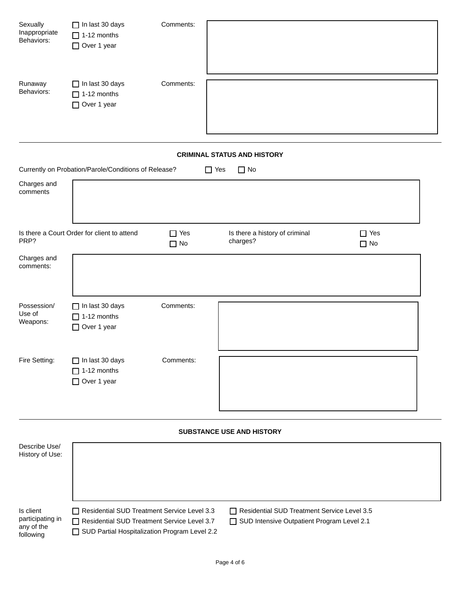| Sexually<br>Inappropriate<br>Behaviors: | $\Box$ In last 30 days<br>$\Box$ 1-12 months<br>□ Over 1 year | Comments:               |                                            |                         |
|-----------------------------------------|---------------------------------------------------------------|-------------------------|--------------------------------------------|-------------------------|
| Runaway<br>Behaviors:                   | $\Box$ In last 30 days<br>$\Box$ 1-12 months<br>Over 1 year   | Comments:               |                                            |                         |
|                                         |                                                               |                         | <b>CRIMINAL STATUS AND HISTORY</b>         |                         |
|                                         | Currently on Probation/Parole/Conditions of Release?          |                         | $\Box$ Yes<br>$\Box$ No                    |                         |
| Charges and<br>comments                 |                                                               |                         |                                            |                         |
| PRP?                                    | Is there a Court Order for client to attend                   | $\Box$ Yes<br>$\Box$ No | Is there a history of criminal<br>charges? | $\Box$ Yes<br>$\Box$ No |
| Charges and<br>comments:                |                                                               |                         |                                            |                         |
| Possession/<br>Use of<br>Weapons:       | $\Box$ In last 30 days<br>$\Box$ 1-12 months<br>Over 1 year   | Comments:               |                                            |                         |
| Fire Setting:                           | $\Box$ In last 30 days<br>$\Box$ 1-12 months<br>Over 1 year   | Comments:               |                                            |                         |
|                                         |                                                               |                         | SUBSTANCE USE AND HISTORY                  |                         |
| Describe Use/                           |                                                               |                         |                                            |                         |

| History of Use:                                          |                                                                                                                                                           |                                                                                                    |  |
|----------------------------------------------------------|-----------------------------------------------------------------------------------------------------------------------------------------------------------|----------------------------------------------------------------------------------------------------|--|
| Is client<br>participating in<br>any of the<br>following | $\Box$ Residential SUD Treatment Service Level 3.3<br>Residential SUD Treatment Service Level 3.7<br>$\Box$ SUD Partial Hospitalization Program Level 2.2 | □ Residential SUD Treatment Service Level 3.5<br>$\Box$ SUD Intensive Outpatient Program Level 2.1 |  |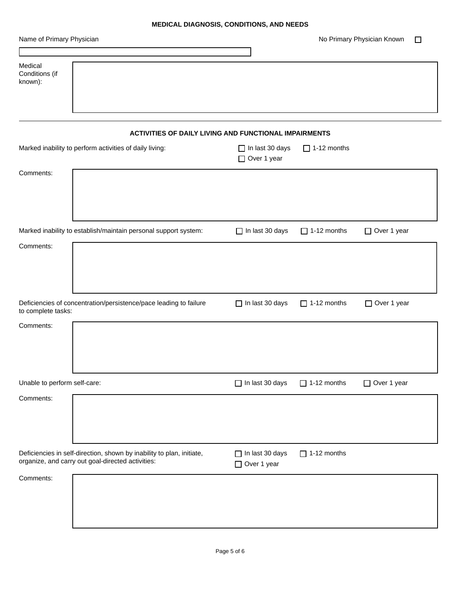## **MEDICAL DIAGNOSIS, CONDITIONS, AND NEEDS**

|                                                                                                                            | <b>MEDICAL DIAGNOSIS, CONDITIONS, AND NEEDS</b> |                    |                                            |
|----------------------------------------------------------------------------------------------------------------------------|-------------------------------------------------|--------------------|--------------------------------------------|
| Name of Primary Physician                                                                                                  |                                                 |                    | No Primary Physician Known<br>$\mathbf{I}$ |
|                                                                                                                            |                                                 |                    |                                            |
| Medical<br>Conditions (if<br>known):                                                                                       |                                                 |                    |                                            |
| ACTIVITIES OF DAILY LIVING AND FUNCTIONAL IMPAIRMENTS                                                                      |                                                 |                    |                                            |
| Marked inability to perform activities of daily living:                                                                    | $\Box$ In last 30 days<br>□ Over 1 year         | $\Box$ 1-12 months |                                            |
| Comments:                                                                                                                  |                                                 |                    |                                            |
| Marked inability to establish/maintain personal support system:                                                            | $\Box$ In last 30 days                          | $\Box$ 1-12 months | □ Over 1 year                              |
| Comments:                                                                                                                  |                                                 |                    |                                            |
| Deficiencies of concentration/persistence/pace leading to failure<br>to complete tasks:                                    | $\Box$ In last 30 days                          | $\Box$ 1-12 months | □ Over 1 year                              |
| Comments:                                                                                                                  |                                                 |                    |                                            |
| Unable to perform self-care:                                                                                               | $\Box$ In last 30 days                          | $\Box$ 1-12 months | □ Over 1 year                              |
| Comments:                                                                                                                  |                                                 |                    |                                            |
| Deficiencies in self-direction, shown by inability to plan, initiate,<br>organize, and carry out goal-directed activities: | $\Box$ In last 30 days<br>□ Over 1 year         | $\Box$ 1-12 months |                                            |
| Comments:                                                                                                                  |                                                 |                    |                                            |